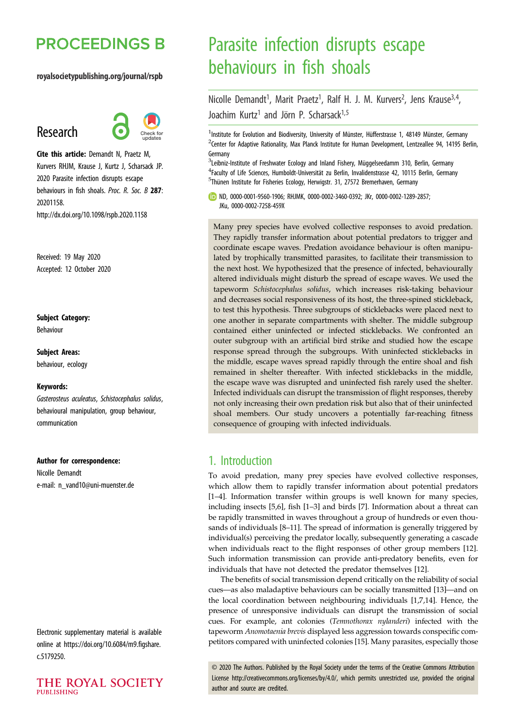# **PROCEEDINGS B**

#### royalsocietypublishing.org/journal/rspb

# Research



Cite this article: Demandt N, Praetz M, Kurvers RHJM, Krause J, Kurtz J, Scharsack JP. 2020 Parasite infection disrupts escape behaviours in fish shoals. Proc. R. Soc. B 287: 20201158. http://dx.doi.org/10.1098/rspb.2020.1158

Received: 19 May 2020 Accepted: 12 October 2020

## Subject Category:

Behaviour

#### Subject Areas: behaviour, ecology

#### Keywords:

Gasterosteus aculeatus, Schistocephalus solidus, behavioural manipulation, group behaviour, communication

#### Author for correspondence:

Nicolle Demandt e-mail: [n\\_vand10@uni-muenster.de](mailto:n_vand10@uni-muenster.de)

Electronic supplementary material is available online at [https://doi.org/10.6084/m9.figshare.](https://doi.org/10.6084/m9.figshare.c.5179250) [c.5179250.](https://doi.org/10.6084/m9.figshare.c.5179250)



# Parasite infection disrupts escape behaviours in fish shoals

Nicolle Demandt<sup>1</sup>, Marit Praetz<sup>1</sup>, Ralf H. J. M. Kurvers<sup>2</sup>, Jens Krause<sup>3,4</sup>, Joachim Kurtz<sup>1</sup> and Jörn P. Scharsack<sup>1,5</sup>

<sup>1</sup>Institute for Evolution and Biodiversity, University of Münster, Hüfferstrasse 1, 48149 Münster, Germany <sup>2</sup> Center for Adaptive Rationality, Max Planck Institute for Human Development, Lentzeallee 94, 14195 Berlin, Germany

<sup>3</sup>Leibniz-Institute of Freshwater Ecology and Inland Fishery, Müggelseedamm 310, Berlin, Germany 4 Faculty of Life Sciences, Humboldt-Universität zu Berlin, Invalidenstrasse 42, 10115 Berlin, Germany <sup>5</sup>Thünen Institute for Fisheries Ecology, Herwigstr. 31, 27572 Bremerhaven, Germany

ND, [0000-0001-9560-1906;](http://orcid.org/0000-0001-9560-1906) RHJMK, [0000-0002-3460-0392](http://orcid.org/0000-0002-3460-0392); JKr, [0000-0002-1289-2857;](http://orcid.org/0000-0002-1289-2857) JKu, [0000-0002-7258-459X](http://orcid.org/0000-0002-7258-459X)

Many prey species have evolved collective responses to avoid predation. They rapidly transfer information about potential predators to trigger and coordinate escape waves. Predation avoidance behaviour is often manipulated by trophically transmitted parasites, to facilitate their transmission to the next host. We hypothesized that the presence of infected, behaviourally altered individuals might disturb the spread of escape waves. We used the tapeworm Schistocephalus solidus, which increases risk-taking behaviour and decreases social responsiveness of its host, the three-spined stickleback, to test this hypothesis. Three subgroups of sticklebacks were placed next to one another in separate compartments with shelter. The middle subgroup contained either uninfected or infected sticklebacks. We confronted an outer subgroup with an artificial bird strike and studied how the escape response spread through the subgroups. With uninfected sticklebacks in the middle, escape waves spread rapidly through the entire shoal and fish remained in shelter thereafter. With infected sticklebacks in the middle, the escape wave was disrupted and uninfected fish rarely used the shelter. Infected individuals can disrupt the transmission of flight responses, thereby not only increasing their own predation risk but also that of their uninfected shoal members. Our study uncovers a potentially far-reaching fitness consequence of grouping with infected individuals.

## 1. Introduction

To avoid predation, many prey species have evolved collective responses, which allow them to rapidly transfer information about potential predators [[1](#page-6-0)–[4](#page-6-0)]. Information transfer within groups is well known for many species, including insects [[5](#page-6-0),[6](#page-6-0)], fish [[1](#page-6-0)–[3](#page-6-0)] and birds [\[7\]](#page-6-0). Information about a threat can be rapidly transmitted in waves throughout a group of hundreds or even thousands of individuals [\[8](#page-6-0)–[11\]](#page-6-0). The spread of information is generally triggered by individual(s) perceiving the predator locally, subsequently generating a cascade when individuals react to the flight responses of other group members [[12\]](#page-6-0). Such information transmission can provide anti-predatory benefits, even for individuals that have not detected the predator themselves [[12\]](#page-6-0).

The benefits of social transmission depend critically on the reliability of social cues—as also maladaptive behaviours can be socially transmitted [\[13](#page-6-0)]—and on the local coordination between neighbouring individuals [\[1,7](#page-6-0)[,14](#page-7-0)]. Hence, the presence of unresponsive individuals can disrupt the transmission of social cues. For example, ant colonies (Temnothorax nylanderi) infected with the tapeworm Anomotaenia brevis displayed less aggression towards conspecific competitors compared with uninfected colonies [[15\]](#page-7-0). Many parasites, especially those

© 2020 The Authors. Published by the Royal Society under the terms of the Creative Commons Attribution License<http://creativecommons.org/licenses/by/4.0/>, which permits unrestricted use, provided the original author and source are credited.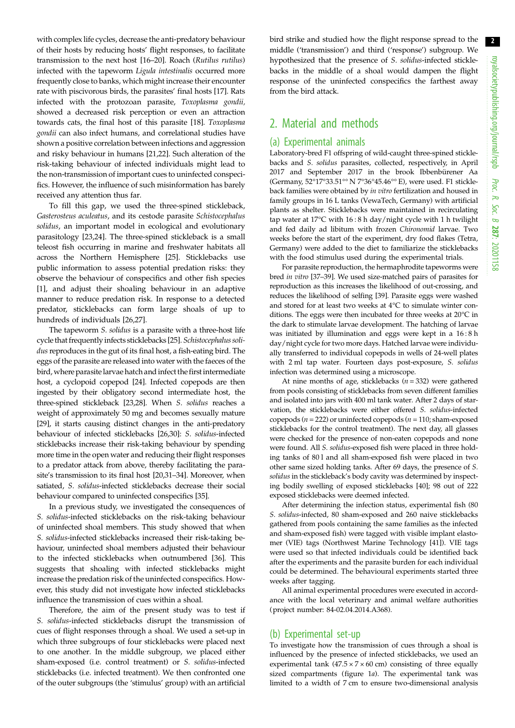with complex life cycles, decrease the anti-predatory behaviour of their hosts by reducing hosts' flight responses, to facilitate transmission to the next host [\[16](#page-7-0)–[20](#page-7-0)]. Roach (Rutilus rutilus) infected with the tapeworm Ligula intestinalis occurred more frequently close to banks, which might increase their encounter rate with piscivorous birds, the parasites' final hosts [\[17](#page-7-0)]. Rats infected with the protozoan parasite, Toxoplasma gondii, showed a decreased risk perception or even an attraction towards cats, the final host of this parasite [\[18](#page-7-0)]. Toxoplasma gondii can also infect humans, and correlational studies have shown a positive correlation between infections and aggression and risky behaviour in humans [\[21,22](#page-7-0)]. Such alteration of the risk-taking behaviour of infected individuals might lead to the non-transmission of important cues to uninfected conspecifics. However, the influence of such misinformation has barely received any attention thus far.

To fill this gap, we used the three-spined stickleback, Gasterosteus aculeatus, and its cestode parasite Schistocephalus solidus, an important model in ecological and evolutionary parasitology [[23,24](#page-7-0)]. The three-spined stickleback is a small teleost fish occurring in marine and freshwater habitats all across the Northern Hemisphere [\[25](#page-7-0)]. Sticklebacks use public information to assess potential predation risks: they observe the behaviour of conspecifics and other fish species [\[1\]](#page-6-0), and adjust their shoaling behaviour in an adaptive manner to reduce predation risk. In response to a detected predator, sticklebacks can form large shoals of up to hundreds of individuals [[26,27\]](#page-7-0).

The tapeworm S. solidus is a parasite with a three-host life cycle that frequently infects sticklebacks [[25](#page-7-0)]. Schistocephalus solidus reproduces in the gut of its final host, a fish-eating bird. The eggs of the parasite are released into water with the faeces of the bird, where parasite larvae hatch andinfect the first intermediate host, a cyclopoid copepod [[24\]](#page-7-0). Infected copepods are then ingested by their obligatory second intermediate host, the three-spined stickleback [\[23,28](#page-7-0)]. When S. solidus reaches a weight of approximately 50 mg and becomes sexually mature [\[29](#page-7-0)], it starts causing distinct changes in the anti-predatory behaviour of infected sticklebacks [\[26,30\]](#page-7-0): S. solidus-infected sticklebacks increase their risk-taking behaviour by spending more time in the open water and reducing their flight responses to a predator attack from above, thereby facilitating the parasite's transmission to its final host [[20,31](#page-7-0)–[34\]](#page-7-0). Moreover, when satiated, S. solidus-infected sticklebacks decrease their social behaviour compared to uninfected conspecifics [\[35](#page-7-0)].

In a previous study, we investigated the consequences of S. solidus-infected sticklebacks on the risk-taking behaviour of uninfected shoal members. This study showed that when S. solidus-infected sticklebacks increased their risk-taking behaviour, uninfected shoal members adjusted their behaviour to the infected sticklebacks when outnumbered [[36\]](#page-7-0). This suggests that shoaling with infected sticklebacks might increase the predation risk of the uninfected conspecifics. However, this study did not investigate how infected sticklebacks influence the transmission of cues within a shoal.

Therefore, the aim of the present study was to test if S. solidus-infected sticklebacks disrupt the transmission of cues of flight responses through a shoal. We used a set-up in which three subgroups of four sticklebacks were placed next to one another. In the middle subgroup, we placed either sham-exposed (i.e. control treatment) or S. solidus-infected sticklebacks (i.e. infected treatment). We then confronted one of the outer subgroups (the 'stimulus' group) with an artificial bird strike and studied how the flight response spread to the middle ('transmission') and third ('response') subgroup. We hypothesized that the presence of S. solidus-infected sticklebacks in the middle of a shoal would dampen the flight response of the uninfected conspecifics the farthest away from the bird attack.

## 2. Material and methods

#### (a) Experimental animals

Laboratory-bred F1 offspring of wild-caught three-spined sticklebacks and S. solidus parasites, collected, respectively, in April 2017 and September 2017 in the brook Ibbenbürener Aa (Germany, 52°17°33.51°° N 7°36°45.46°° E), were used. F1 stickleback families were obtained by in vitro fertilization and housed in family groups in 16 L tanks (VewaTech, Germany) with artificial plants as shelter. Sticklebacks were maintained in recirculating tap water at 17°C with 16 : 8 h day/night cycle with 1 h twilight and fed daily ad libitum with frozen Chironomid larvae. Two weeks before the start of the experiment, dry food flakes (Tetra, Germany) were added to the diet to familiarize the sticklebacks with the food stimulus used during the experimental trials.

For parasite reproduction, the hermaphrodite tapeworms were bred in vitro [\[37](#page-7-0)–[39](#page-7-0)]. We used size-matched pairs of parasites for reproduction as this increases the likelihood of out-crossing, and reduces the likelihood of selfing [[39](#page-7-0)]. Parasite eggs were washed and stored for at least two weeks at 4°C to simulate winter conditions. The eggs were then incubated for three weeks at 20°C in the dark to stimulate larvae development. The hatching of larvae was initiated by illumination and eggs were kept in a 16 : 8 h day/night cycle for two more days. Hatched larvae were individually transferred to individual copepods in wells of 24-well plates with 2 ml tap water. Fourteen days post-exposure, S. solidus infection was determined using a microscope.

At nine months of age, sticklebacks ( $n = 332$ ) were gathered from pools consisting of sticklebacks from seven different families and isolated into jars with 400 ml tank water. After 2 days of starvation, the sticklebacks were either offered S. solidus-infected copepods ( $n = 222$ ) or uninfected copepods ( $n = 110$ ; sham-exposed sticklebacks for the control treatment). The next day, all glasses were checked for the presence of non-eaten copepods and none were found. All S. solidus-exposed fish were placed in three holding tanks of 80 l and all sham-exposed fish were placed in two other same sized holding tanks. After 69 days, the presence of S. solidus in the stickleback's body cavity was determined by inspecting bodily swelling of exposed sticklebacks [\[40](#page-7-0)]; 98 out of 222 exposed sticklebacks were deemed infected.

After determining the infection status, experimental fish (80 S. solidus-infected, 80 sham-exposed and 260 naive sticklebacks gathered from pools containing the same families as the infected and sham-exposed fish) were tagged with visible implant elastomer (VIE) tags (Northwest Marine Technology [[41](#page-7-0)]). VIE tags were used so that infected individuals could be identified back after the experiments and the parasite burden for each individual could be determined. The behavioural experiments started three weeks after tagging.

All animal experimental procedures were executed in accordance with the local veterinary and animal welfare authorities (project number: 84-02.04.2014.A368).

### (b) Experimental set-up

To investigate how the transmission of cues through a shoal is influenced by the presence of infected sticklebacks, we used an experimental tank  $(47.5 \times 7 \times 60 \text{ cm})$  consisting of three equally sized compartments ([figure 1](#page-2-0)a). The experimental tank was limited to a width of 7 cm to ensure two-dimensional analysis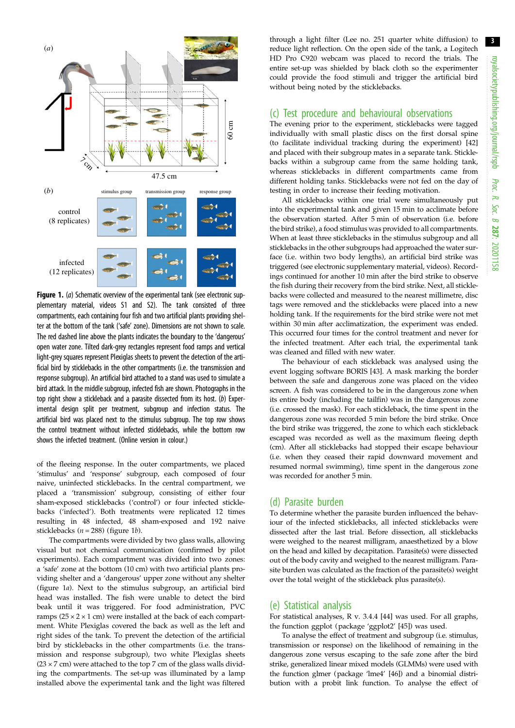<span id="page-2-0"></span>

**Figure 1.** ( $a$ ) Schematic overview of the experimental tank (see electronic supplementary material, videos S1 and S2). The tank consisted of three compartments, each containing four fish and two artificial plants providing shelter at the bottom of the tank ('safe' zone). Dimensions are not shown to scale. The red dashed line above the plants indicates the boundary to the 'dangerous' open water zone. Tilted dark-grey rectangles represent food ramps and vertical light-grey squares represent Plexiglas sheets to prevent the detection of the artificial bird by sticklebacks in the other compartments (i.e. the transmission and response subgroup). An artificial bird attached to a stand was used to simulate a bird attack. In the middle subgroup, infected fish are shown. Photographs in the top right show a stickleback and a parasite dissected from its host. (b) Experimental design split per treatment, subgroup and infection status. The artificial bird was placed next to the stimulus subgroup. The top row shows the control treatment without infected sticklebacks, while the bottom row shows the infected treatment. (Online version in colour.)

of the fleeing response. In the outer compartments, we placed 'stimulus' and 'response' subgroup, each composed of four naive, uninfected sticklebacks. In the central compartment, we placed a 'transmission' subgroup, consisting of either four sham-exposed sticklebacks ('control') or four infected sticklebacks ('infected'). Both treatments were replicated 12 times resulting in 48 infected, 48 sham-exposed and 192 naive sticklebacks ( $n = 288$ ) (figure 1b).

The compartments were divided by two glass walls, allowing visual but not chemical communication (confirmed by pilot experiments). Each compartment was divided into two zones: a 'safe' zone at the bottom (10 cm) with two artificial plants providing shelter and a 'dangerous' upper zone without any shelter (figure 1a). Next to the stimulus subgroup, an artificial bird head was installed. The fish were unable to detect the bird beak until it was triggered. For food administration, PVC ramps  $(25 \times 2 \times 1$  cm) were installed at the back of each compartment. White Plexiglas covered the back as well as the left and right sides of the tank. To prevent the detection of the artificial bird by sticklebacks in the other compartments (i.e. the transmission and response subgroup), two white Plexiglas sheets  $(23 \times 7 \text{ cm})$  were attached to the top 7 cm of the glass walls dividing the compartments. The set-up was illuminated by a lamp installed above the experimental tank and the light was filtered

through a light filter (Lee no. 251 quarter white diffusion) to reduce light reflection. On the open side of the tank, a Logitech HD Pro C920 webcam was placed to record the trials. The entire set-up was shielded by black cloth so the experimenter could provide the food stimuli and trigger the artificial bird without being noted by the sticklebacks.

#### (c) Test procedure and behavioural observations

The evening prior to the experiment, sticklebacks were tagged individually with small plastic discs on the first dorsal spine (to facilitate individual tracking during the experiment) [\[42\]](#page-7-0) and placed with their subgroup mates in a separate tank. Sticklebacks within a subgroup came from the same holding tank, whereas sticklebacks in different compartments came from different holding tanks. Sticklebacks were not fed on the day of testing in order to increase their feeding motivation.

All sticklebacks within one trial were simultaneously put into the experimental tank and given 15 min to acclimate before the observation started. After 5 min of observation (i.e. before the bird strike), a food stimulus was provided to all compartments. When at least three sticklebacks in the stimulus subgroup and all sticklebacks in the other subgroups had approached the water surface (i.e. within two body lengths), an artificial bird strike was triggered (see electronic supplementary material, videos). Recordings continued for another 10 min after the bird strike to observe the fish during their recovery from the bird strike. Next, all sticklebacks were collected and measured to the nearest millimetre, disc tags were removed and the sticklebacks were placed into a new holding tank. If the requirements for the bird strike were not met within 30 min after acclimatization, the experiment was ended. This occurred four times for the control treatment and never for the infected treatment. After each trial, the experimental tank was cleaned and filled with new water.

The behaviour of each stickleback was analysed using the event logging software BORIS [[43](#page-7-0)]. A mask marking the border between the safe and dangerous zone was placed on the video screen. A fish was considered to be in the dangerous zone when its entire body (including the tailfin) was in the dangerous zone (i.e. crossed the mask). For each stickleback, the time spent in the dangerous zone was recorded 5 min before the bird strike. Once the bird strike was triggered, the zone to which each stickleback escaped was recorded as well as the maximum fleeing depth (cm). After all sticklebacks had stopped their escape behaviour (i.e. when they ceased their rapid downward movement and resumed normal swimming), time spent in the dangerous zone was recorded for another 5 min.

#### (d) Parasite burden

To determine whether the parasite burden influenced the behaviour of the infected sticklebacks, all infected sticklebacks were dissected after the last trial. Before dissection, all sticklebacks were weighed to the nearest milligram, anaesthetized by a blow on the head and killed by decapitation. Parasite(s) were dissected out of the body cavity and weighed to the nearest milligram. Parasite burden was calculated as the fraction of the parasite(s) weight over the total weight of the stickleback plus parasite(s).

#### (e) Statistical analysis

For statistical analyses, R v. 3.4.4 [[44](#page-7-0)] was used. For all graphs, the function ggplot (package 'ggplot2' [[45\]](#page-7-0)) was used.

To analyse the effect of treatment and subgroup (i.e. stimulus, transmission or response) on the likelihood of remaining in the dangerous zone versus escaping to the safe zone after the bird strike, generalized linear mixed models (GLMMs) were used with the function glmer (package 'lme4' [\[46](#page-7-0)]) and a binomial distribution with a probit link function. To analyse the effect of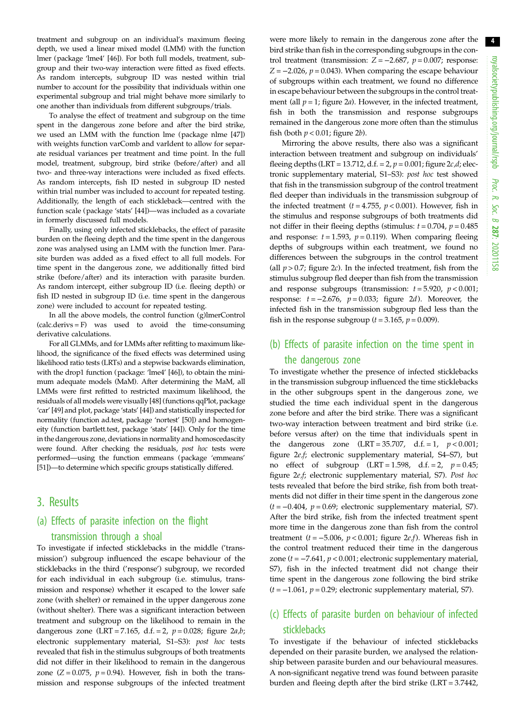treatment and subgroup on an individual's maximum fleeing depth, we used a linear mixed model (LMM) with the function lmer (package 'lme4' [[46](#page-7-0)]). For both full models, treatment, subgroup and their two-way interaction were fitted as fixed effects. As random intercepts, subgroup ID was nested within trial number to account for the possibility that individuals within one experimental subgroup and trial might behave more similarly to one another than individuals from different subgroups/trials.

To analyse the effect of treatment and subgroup on the time spent in the dangerous zone before and after the bird strike, we used an LMM with the function lme (package nlme [\[47\]](#page-7-0)) with weights function varComb and varIdent to allow for separate residual variances per treatment and time point. In the full model, treatment, subgroup, bird strike (before/after) and all two- and three-way interactions were included as fixed effects. As random intercepts, fish ID nested in subgroup ID nested within trial number was included to account for repeated testing. Additionally, the length of each stickleback—centred with the function scale (package 'stats' [[44](#page-7-0)])—was included as a covariate in formerly discussed full models.

Finally, using only infected sticklebacks, the effect of parasite burden on the fleeing depth and the time spent in the dangerous zone was analysed using an LMM with the function lmer. Parasite burden was added as a fixed effect to all full models. For time spent in the dangerous zone, we additionally fitted bird strike (before/after) and its interaction with parasite burden. As random intercept, either subgroup ID (i.e. fleeing depth) or fish ID nested in subgroup ID (i.e. time spent in the dangerous zone) were included to account for repeated testing.

In all the above models, the control function (g)lmerControl (calc.derivs = F) was used to avoid the time-consuming derivative calculations.

For all GLMMs, and for LMMs after refitting to maximum likelihood, the significance of the fixed effects was determined using likelihood ratio tests (LRTs) and a stepwise backwards elimination, with the drop1 function (package: 'lme4' [\[46\]](#page-7-0)), to obtain the minimum adequate models (MaM). After determining the MaM, all LMMs were first refitted to restricted maximum likelihood, the residuals of all models were visually [\[48\]](#page-7-0) (functions qqPlot, package 'car' [\[49](#page-7-0)] and plot, package 'stats' [\[44\]](#page-7-0)) and statistically inspected for normality (function ad.test, package 'nortest' [\[50\]](#page-7-0)) and homogeneity (function bartlett.test, package 'stats' [[44](#page-7-0)]). Only for the time in the dangerous zone, deviations in normality and homoscedascity were found. After checking the residuals, post hoc tests were performed—using the function emmeans (package 'emmeans' [\[51\]](#page-7-0))—to determine which specific groups statistically differed.

## 3. Results

### (a) Effects of parasite infection on the flight

#### transmission through a shoal

To investigate if infected sticklebacks in the middle ('transmission') subgroup influenced the escape behaviour of the sticklebacks in the third ('response') subgroup, we recorded for each individual in each subgroup (i.e. stimulus, transmission and response) whether it escaped to the lower safe zone (with shelter) or remained in the upper dangerous zone (without shelter). There was a significant interaction between treatment and subgroup on the likelihood to remain in the dangerous zone (LRT = 7.165, d.f. = 2,  $p = 0.028$ ; figure  $2a,b$ ; electronic supplementary material, S1–S3): post hoc tests revealed that fish in the stimulus subgroups of both treatments did not differ in their likelihood to remain in the dangerous zone ( $Z = 0.075$ ,  $p = 0.94$ ). However, fish in both the transmission and response subgroups of the infected treatment

were more likely to remain in the dangerous zone after the bird strike than fish in the corresponding subgroups in the control treatment (transmission:  $Z = -2.687$ ,  $p = 0.007$ ; response:  $Z = -2.026$ ,  $p = 0.043$ ). When comparing the escape behaviour of subgroups within each treatment, we found no difference in escape behaviour between the subgroups in the control treatment (all  $p = 1$ ; [figure 2](#page-4-0)*a*). However, in the infected treatment, fish in both the transmission and response subgroups remained in the dangerous zone more often than the stimulus fish (both  $p < 0.01$ ; [figure 2](#page-4-0)*b*).

Mirroring the above results, there also was a significant interaction between treatment and subgroup on individuals' fleeing depths (LRT = 13.712, d.f. =  $2$ ,  $p = 0.001$ ; figure  $2c$ , $d$ ; electronic supplementary material, S1–S3): post hoc test showed that fish in the transmission subgroup of the control treatment fled deeper than individuals in the transmission subgroup of the infected treatment ( $t = 4.755$ ,  $p < 0.001$ ). However, fish in the stimulus and response subgroups of both treatments did not differ in their fleeing depths (stimulus:  $t = 0.704$ ,  $p = 0.485$ and response:  $t = 1.593$ ,  $p = 0.119$ ). When comparing fleeing depths of subgroups within each treatment, we found no differences between the subgroups in the control treatment (all  $p > 0.7$ ; [figure 2](#page-4-0)c). In the infected treatment, fish from the stimulus subgroup fled deeper than fish from the transmission and response subgroups (transmission:  $t = 5.920$ ,  $p < 0.001$ ; response:  $t = -2.676$ ,  $p = 0.033$ ; [figure 2](#page-4-0)d). Moreover, the infected fish in the transmission subgroup fled less than the fish in the response subgroup  $(t = 3.165, p = 0.009)$ .

## (b) Effects of parasite infection on the time spent in the dangerous zone

To investigate whether the presence of infected sticklebacks in the transmission subgroup influenced the time sticklebacks in the other subgroups spent in the dangerous zone, we studied the time each individual spent in the dangerous zone before and after the bird strike. There was a significant two-way interaction between treatment and bird strike (i.e. before versus after) on the time that individuals spent in the dangerous zone  $(LRT = 35.707, d.f. = 1, p < 0.001;$ [figure 2](#page-4-0)e,f; electronic supplementary material, S4–S7), but no effect of subgroup  $(LRT = 1.598, d.f. = 2, p = 0.45;$ [figure 2](#page-4-0)e,f; electronic supplementary material, S7). Post hoc tests revealed that before the bird strike, fish from both treatments did not differ in their time spent in the dangerous zone  $(t = -0.404, p = 0.69;$  electronic supplementary material, S7). After the bird strike, fish from the infected treatment spent more time in the dangerous zone than fish from the control treatment ( $t = -5.006$ ,  $p < 0.001$ ; [figure 2](#page-4-0)e,f). Whereas fish in the control treatment reduced their time in the dangerous zone ( $t = -7.641$ ,  $p < 0.001$ ; electronic supplementary material, S7), fish in the infected treatment did not change their time spent in the dangerous zone following the bird strike  $(t = -1.061, p = 0.29;$  electronic supplementary material, S7).

## (c) Effects of parasite burden on behaviour of infected sticklebacks

To investigate if the behaviour of infected sticklebacks depended on their parasite burden, we analysed the relationship between parasite burden and our behavioural measures. A non-significant negative trend was found between parasite burden and fleeing depth after the bird strike (LRT = 3.7442,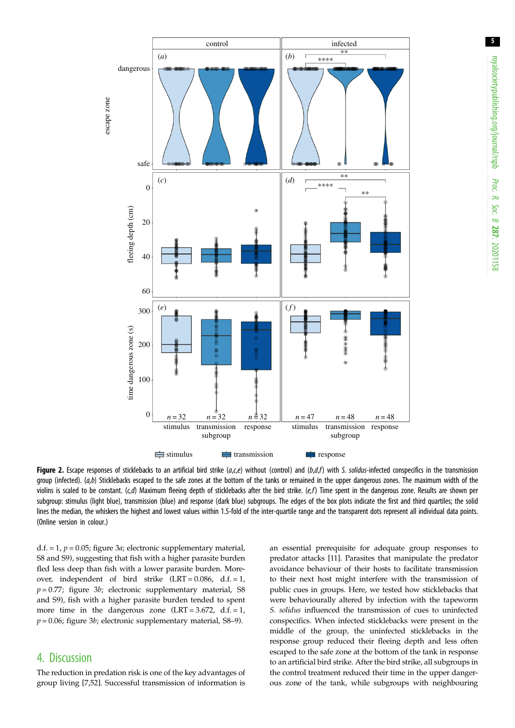5

<span id="page-4-0"></span>

Figure 2. Escape responses of sticklebacks to an artificial bird strike ( $a,c,e$ ) without (control) and ( $b,d,f$ ) with S. solidus-infected conspecifics in the transmission group (infected). (a,b) Sticklebacks escaped to the safe zones at the bottom of the tanks or remained in the upper dangerous zones. The maximum width of the violins is scaled to be constant. (c,d) Maximum fleeing depth of sticklebacks after the bird strike. (e,f) Time spent in the dangerous zone. Results are shown per subgroup: stimulus (light blue), transmission (blue) and response (dark blue) subgroups. The edges of the box plots indicate the first and third quartiles; the solid lines the median, the whiskers the highest and lowest values within 1.5-fold of the inter-quartile range and the transparent dots represent all individual data points. (Online version in colour.)

d.f. = 1,  $p = 0.05$ ; [figure 3](#page-5-0)*a*; electronic supplementary material, S8 and S9), suggesting that fish with a higher parasite burden fled less deep than fish with a lower parasite burden. Moreover, independent of bird strike  $(LRT = 0.086, d.f. = 1,$  $p = 0.77$ ; [figure 3](#page-5-0)b; electronic supplementary material, S8 and S9), fish with a higher parasite burden tended to spent more time in the dangerous zone  $(LRT = 3.672, d.f. = 1,$  $p = 0.06$ ; [figure 3](#page-5-0)b; electronic supplementary material, S8–9).

## 4. Discussion

The reduction in predation risk is one of the key advantages of group living [[7](#page-6-0)[,52](#page-7-0)]. Successful transmission of information is an essential prerequisite for adequate group responses to predator attacks [\[11](#page-6-0)]. Parasites that manipulate the predator avoidance behaviour of their hosts to facilitate transmission to their next host might interfere with the transmission of public cues in groups. Here, we tested how sticklebacks that were behaviourally altered by infection with the tapeworm S. solidus influenced the transmission of cues to uninfected conspecifics. When infected sticklebacks were present in the middle of the group, the uninfected sticklebacks in the response group reduced their fleeing depth and less often escaped to the safe zone at the bottom of the tank in response to an artificial bird strike. After the bird strike, all subgroups in the control treatment reduced their time in the upper dangerous zone of the tank, while subgroups with neighbouring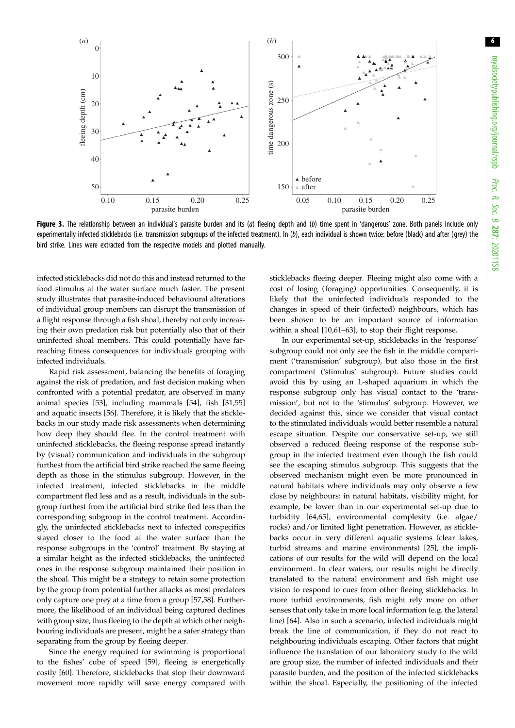6

<span id="page-5-0"></span>

Figure 3. The relationship between an individual's parasite burden and its (a) fleeing depth and (b) time spent in 'dangerous' zone. Both panels include only experimentally infected sticklebacks (i.e. transmission subgroups of the infected treatment). In  $(b)$ , each individual is shown twice: before (black) and after (grey) the bird strike. Lines were extracted from the respective models and plotted manually.

infected sticklebacks did not do this and instead returned to the food stimulus at the water surface much faster. The present study illustrates that parasite-induced behavioural alterations of individual group members can disrupt the transmission of a flight response through a fish shoal, thereby not only increasing their own predation risk but potentially also that of their uninfected shoal members. This could potentially have farreaching fitness consequences for individuals grouping with infected individuals.

Rapid risk assessment, balancing the benefits of foraging against the risk of predation, and fast decision making when confronted with a potential predator, are observed in many animal species [\[53](#page-7-0)], including mammals [[54\]](#page-7-0), fish [\[31](#page-7-0),[55\]](#page-7-0) and aquatic insects [[56](#page-7-0)]. Therefore, it is likely that the sticklebacks in our study made risk assessments when determining how deep they should flee. In the control treatment with uninfected sticklebacks, the fleeing response spread instantly by (visual) communication and individuals in the subgroup furthest from the artificial bird strike reached the same fleeing depth as those in the stimulus subgroup. However, in the infected treatment, infected sticklebacks in the middle compartment fled less and as a result, individuals in the subgroup furthest from the artificial bird strike fled less than the corresponding subgroup in the control treatment. Accordingly, the uninfected sticklebacks next to infected conspecifics stayed closer to the food at the water surface than the response subgroups in the 'control' treatment. By staying at a similar height as the infected sticklebacks, the uninfected ones in the response subgroup maintained their position in the shoal. This might be a strategy to retain some protection by the group from potential further attacks as most predators only capture one prey at a time from a group [[57,](#page-7-0)[58](#page-8-0)]. Furthermore, the likelihood of an individual being captured declines with group size, thus fleeing to the depth at which other neighbouring individuals are present, might be a safer strategy than separating from the group by fleeing deeper.

Since the energy required for swimming is proportional to the fishes' cube of speed [[59\]](#page-8-0), fleeing is energetically costly [\[60](#page-8-0)]. Therefore, sticklebacks that stop their downward movement more rapidly will save energy compared with

sticklebacks fleeing deeper. Fleeing might also come with a cost of losing (foraging) opportunities. Consequently, it is likely that the uninfected individuals responded to the changes in speed of their (infected) neighbours, which has been shown to be an important source of information within a shoal [[10,](#page-6-0)[61](#page-8-0)–[63](#page-8-0)], to stop their flight response.

In our experimental set-up, sticklebacks in the 'response' subgroup could not only see the fish in the middle compartment ('transmission' subgroup), but also those in the first compartment ('stimulus' subgroup). Future studies could avoid this by using an L-shaped aquarium in which the response subgroup only has visual contact to the 'transmission', but not to the 'stimulus' subgroup. However, we decided against this, since we consider that visual contact to the stimulated individuals would better resemble a natural escape situation. Despite our conservative set-up, we still observed a reduced fleeing response of the response subgroup in the infected treatment even though the fish could see the escaping stimulus subgroup. This suggests that the observed mechanism might even be more pronounced in natural habitats where individuals may only observe a few close by neighbours: in natural habitats, visibility might, for example, be lower than in our experimental set-up due to turbidity [\[64,65](#page-8-0)], environmental complexity (i.e. algae/ rocks) and/or limited light penetration. However, as sticklebacks occur in very different aquatic systems (clear lakes, turbid streams and marine environments) [\[25](#page-7-0)], the implications of our results for the wild will depend on the local environment. In clear waters, our results might be directly translated to the natural environment and fish might use vision to respond to cues from other fleeing sticklebacks. In more turbid environments, fish might rely more on other senses that only take in more local information (e.g. the lateral line) [[64\]](#page-8-0). Also in such a scenario, infected individuals might break the line of communication, if they do not react to neighbouring individuals escaping. Other factors that might influence the translation of our laboratory study to the wild are group size, the number of infected individuals and their parasite burden, and the position of the infected sticklebacks within the shoal. Especially, the positioning of the infected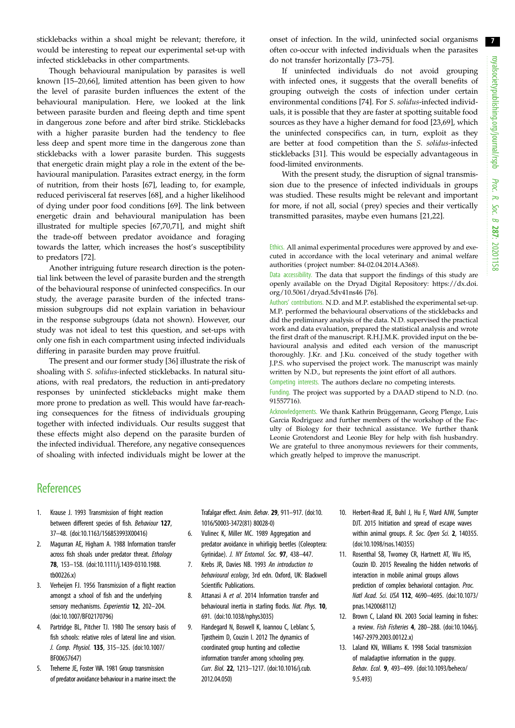7

<span id="page-6-0"></span>sticklebacks within a shoal might be relevant; therefore, it would be interesting to repeat our experimental set-up with infected sticklebacks in other compartments.

Though behavioural manipulation by parasites is well known [[15](#page-7-0)–[20](#page-7-0)[,66](#page-8-0)], limited attention has been given to how the level of parasite burden influences the extent of the behavioural manipulation. Here, we looked at the link between parasite burden and fleeing depth and time spent in dangerous zone before and after bird strike. Sticklebacks with a higher parasite burden had the tendency to flee less deep and spent more time in the dangerous zone than sticklebacks with a lower parasite burden. This suggests that energetic drain might play a role in the extent of the behavioural manipulation. Parasites extract energy, in the form of nutrition, from their hosts [[67\]](#page-8-0), leading to, for example, reduced perivisceral fat reserves [[68\]](#page-8-0), and a higher likelihood of dying under poor food conditions [[69\]](#page-8-0). The link between energetic drain and behavioural manipulation has been illustrated for multiple species [[67,70,71](#page-8-0)], and might shift the trade-off between predator avoidance and foraging towards the latter, which increases the host's susceptibility to predators [[72\]](#page-8-0).

Another intriguing future research direction is the potential link between the level of parasite burden and the strength of the behavioural response of uninfected conspecifics. In our study, the average parasite burden of the infected transmission subgroups did not explain variation in behaviour in the response subgroups (data not shown). However, our study was not ideal to test this question, and set-ups with only one fish in each compartment using infected individuals differing in parasite burden may prove fruitful.

The present and our former study [\[36](#page-7-0)] illustrate the risk of shoaling with S. solidus-infected sticklebacks. In natural situations, with real predators, the reduction in anti-predatory responses by uninfected sticklebacks might make them more prone to predation as well. This would have far-reaching consequences for the fitness of individuals grouping together with infected individuals. Our results suggest that these effects might also depend on the parasite burden of the infected individual. Therefore, any negative consequences of shoaling with infected individuals might be lower at the onset of infection. In the wild, uninfected social organisms often co-occur with infected individuals when the parasites do not transfer horizontally [\[73](#page-8-0)–[75\]](#page-8-0).

If uninfected individuals do not avoid grouping with infected ones, it suggests that the overall benefits of grouping outweigh the costs of infection under certain environmental conditions [[74\]](#page-8-0). For S. solidus-infected individuals, it is possible that they are faster at spotting suitable food sources as they have a higher demand for food [[23,](#page-7-0)[69\]](#page-8-0), which the uninfected conspecifics can, in turn, exploit as they are better at food competition than the S. solidus-infected sticklebacks [[31\]](#page-7-0). This would be especially advantageous in food-limited environments.

With the present study, the disruption of signal transmission due to the presence of infected individuals in groups was studied. These results might be relevant and important for more, if not all, social (prey) species and their vertically transmitted parasites, maybe even humans [[21,22\]](#page-7-0).

Ethics. All animal experimental procedures were approved by and executed in accordance with the local veterinary and animal welfare authorities (project number: 84-02.04.2014.A368).

Data accessibility. The data that support the findings of this study are openly available on the Dryad Digital Repository: [https://dx.doi.](https://dx.doi.org/10.5061/dryad.5dv41ns46) [org/10.5061/dryad.5dv41ns46](https://dx.doi.org/10.5061/dryad.5dv41ns46) [\[76](#page-8-0)].

Authors' contributions. N.D. and M.P. established the experimental set-up. M.P. performed the behavioural observations of the sticklebacks and did the preliminary analysis of the data. N.D. supervised the practical work and data evaluation, prepared the statistical analysis and wrote the first draft of the manuscript. R.H.J.M.K. provided input on the behavioural analysis and edited each version of the manuscript thoroughly. J.Kr. and J.Ku. conceived of the study together with J.P.S. who supervised the project work. The manuscript was mainly written by N.D., but represents the joint effort of all authors.

Competing interests. The authors declare no competing interests.

Funding. The project was supported by a DAAD stipend to N.D. (no. 91557716).

Acknowledgements. We thank Kathrin Brüggemann, Georg Plenge, Luis Garcia Rodriguez and further members of the workshop of the Faculty of Biology for their technical assistance. We further thank Leonie Grotendorst and Leonie Bley for help with fish husbandry. We are grateful to three anonymous reviewers for their comments, which greatly helped to improve the manuscript.

## **References**

- 1. Krause J. 1993 Transmission of fright reaction between different species of fish. Behaviour 127, 37–48. [\(doi:10.1163/156853993X00416](http://dx.doi.org/10.1163/156853993X00416))
- 2. Magurran AE, Higham A. 1988 Information transfer across fish shoals under predator threat. Ethology 78, 153–158. ([doi:10.1111/j.1439-0310.1988.](http://dx.doi.org/10.1111/j.1439-0310.1988.tb00226.x) [tb00226.x](http://dx.doi.org/10.1111/j.1439-0310.1988.tb00226.x))
- 3. Verheijen FJ. 1956 Transmission of a flight reaction amongst a school of fish and the underlying sensory mechanisms. Experientia 12, 202-204. [\(doi:10.1007/BF02170796\)](http://dx.doi.org/10.1007/BF02170796)
- 4. Partridge BL, Pitcher TJ. 1980 The sensory basis of fish schools: relative roles of lateral line and vision. J. Comp. Physiol. 135, 315–325. ([doi:10.1007/](http://dx.doi.org/10.1007/BF00657647) [BF00657647\)](http://dx.doi.org/10.1007/BF00657647)
- 5. Treherne JE, Foster WA. 1981 Group transmission of predator avoidance behaviour in a marine insect: the

Trafalgar effect. Anim. Behav. 29, 911–917. ([doi:10.](http://dx.doi.org/10.1016/S0003-3472(81)80028-0) [1016/S0003-3472\(81\) 80028-0](http://dx.doi.org/10.1016/S0003-3472(81)80028-0))

- 6. Vulinec K, Miller MC. 1989 Aggregation and predator avoidance in whirligig beetles (Coleoptera: Gyrinidae). J. NY Entomol. Soc. 97, 438–447.
- 7. Krebs JR, Davies NB. 1993 An introduction to behavioural ecology, 3rd edn. Oxford, UK: Blackwell Scientific Publications.
- 8. Attanasi A et al. 2014 Information transfer and behavioural inertia in starling flocks. Nat. Phys. 10, 691. ([doi:10.1038/nphys3035](http://dx.doi.org/10.1038/nphys3035))
- 9. Handegard N, Boswell K, Ioannou C, Leblanc S, Tjøstheim D, Couzin I. 2012 The dynamics of coordinated group hunting and collective information transfer among schooling prey. Curr. Biol. 22, 1213–1217. [\(doi:10.1016/j.cub.](http://dx.doi.org/10.1016/j.cub.2012.04.050) [2012.04.050](http://dx.doi.org/10.1016/j.cub.2012.04.050))
- 10. Herbert-Read JE, Buhl J, Hu F, Ward AJW, Sumpter DJT. 2015 Initiation and spread of escape waves within animal groups. R. Soc. Open Sci. 2, 140355. ([doi:10.1098/rsos.140355](http://dx.doi.org/10.1098/rsos.140355))
- 11. Rosenthal SB, Twomey CR, Hartnett AT, Wu HS, Couzin ID. 2015 Revealing the hidden networks of interaction in mobile animal groups allows prediction of complex behavioral contagion. Proc. Natl Acad. Sci. USA 112, 4690–4695. [\(doi:10.1073/](http://dx.doi.org/10.1073/pnas.1420068112) [pnas.1420068112\)](http://dx.doi.org/10.1073/pnas.1420068112)
- 12. Brown C, Laland KN. 2003 Social learning in fishes: a review. Fish Fisheries 4, 280–288. ([doi:10.1046/j.](http://dx.doi.org/10.1046/j.1467-2979.2003.00122.x) [1467-2979.2003.00122.x\)](http://dx.doi.org/10.1046/j.1467-2979.2003.00122.x)
- 13. Laland KN, Williams K. 1998 Social transmission of maladaptive information in the guppy. Behav. Ecol. 9, 493–499. ([doi:10.1093/beheco/](http://dx.doi.org/10.1093/beheco/9.5.493) [9.5.493\)](http://dx.doi.org/10.1093/beheco/9.5.493)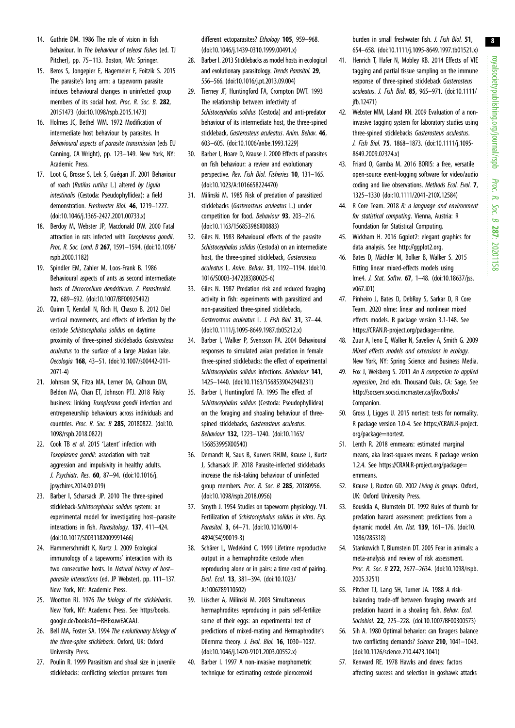- <span id="page-7-0"></span>14. Guthrie DM. 1986 The role of vision in fish behaviour. In The behaviour of teleost fishes (ed. TJ Pitcher), pp. 75–113. Boston, MA: Springer.
- 15. Beros S, Jongepier E, Hagemeier F, Foitzik S. 2015 The parasite's long arm: a tapeworm parasite induces behavioural changes in uninfected group members of its social host. Proc. R. Soc. B. 282, 20151473 [\(doi:10.1098/rspb.2015.1473](http://dx.doi.org/10.1098/rspb.2015.1473))
- 16. Holmes JC, Bethel WM. 1972 Modification of intermediate host behaviour by parasites. In Behavioural aspects of parasite transmission (eds EU Canning, CA Wright), pp. 123–149. New York, NY: Academic Press.
- 17. Loot G, Brosse S, Lek S, Guégan JF. 2001 Behaviour of roach (Rutilus rutilus L.) altered by Ligula intestinalis (Cestoda: Pseudophyllidea): a field demonstration. Freshwater Biol. 46, 1219–1227. [\(doi:10.1046/j.1365-2427.2001.00733.x](http://dx.doi.org/10.1046/j.1365-2427.2001.00733.x))
- 18. Berdoy M, Webster JP, Macdonald DW. 2000 Fatal attraction in rats infected with Toxoplasma gondii. Proc. R. Soc. Lond. B 267, 1591–1594. ([doi:10.1098/](http://dx.doi.org/10.1098/rspb.2000.1182) [rspb.2000.1182](http://dx.doi.org/10.1098/rspb.2000.1182))
- 19. Spindler EM, Zahler M, Loos-Frank B. 1986 Behavioural aspects of ants as second intermediate hosts of Dicrocoelium dendriticum. Z. Parasitenkd. 72, 689–692. ([doi:10.1007/BF00925492](http://dx.doi.org/10.1007/BF00925492))
- 20. Quinn T, Kendall N, Rich H, Chasco B. 2012 Diel vertical movements, and effects of infection by the cestode Schistocephalus solidus on daytime proximity of three-spined sticklebacks Gasterosteus aculeatus to the surface of a large Alaskan lake. Oecologia 168, 43–51. ([doi:10.1007/s00442-011-](http://dx.doi.org/10.1007/s00442-011-2071-4) [2071-4](http://dx.doi.org/10.1007/s00442-011-2071-4))
- 21. Johnson SK, Fitza MA, Lerner DA, Calhoun DM, Beldon MA, Chan ET, Johnson PTJ. 2018 Risky business: linking Toxoplasma gondii infection and entrepeneurship behaviours across individuals and countries. Proc. R. Soc. B 285, 20180822. ([doi:10.](http://dx.doi.org/10.1098/rspb.2018.0822) [1098/rspb.2018.0822](http://dx.doi.org/10.1098/rspb.2018.0822))
- 22. Cook TB et al. 2015 'Latent' infection with Toxoplasma gondii: association with trait aggression and impulsivity in healthy adults. J. Psychiatr. Res. 60, 87–94. [\(doi:10.1016/j.](http://dx.doi.org/10.1016/j.jpsychires.2014.09.019) ipsychires.2014.09.019)
- 23. Barber I, Scharsack JP. 2010 The three-spined stickleback-Schistocephalus solidus system: an experimental model for investigating host–parasite interactions in fish. Parasitoloav. 137, 411-424. [\(doi:10.1017/S0031182009991466](http://dx.doi.org/10.1017/S0031182009991466))
- 24. Hammerschmidt K, Kurtz J. 2009 Ecological immunology of a tapeworms' interaction with its two consecutive hosts. In Natural history of hostparasite interactions (ed. JP Webster), pp. 111–137. New York, NY: Academic Press.
- 25. Wootton RJ. 1976 The biology of the sticklebacks. New York, NY: Academic Press. See [https/books.](https/books.google.de/books?id=RHExuwEACAAJ) [google.de/books?id=RHExuwEACAAJ.](https/books.google.de/books?id=RHExuwEACAAJ)
- 26. Bell MA, Foster SA, 1994 The evolutionary biology of the three-spine stickleback. Oxford, UK: Oxford University Press.
- 27. Poulin R. 1999 Parasitism and shoal size in juvenile sticklebacks: conflicting selection pressures from

different ectoparasites? Ethology 105, 959-968. [\(doi:10.1046/j.1439-0310.1999.00491.x\)](http://dx.doi.org/10.1046/j.1439-0310.1999.00491.x)

- 28. Barber I. 2013 Sticklebacks as model hosts in ecological and evolutionary parasitology. Trends Parasitol. 29, 556–566. [\(doi:10.1016/j.pt.2013.09.004\)](http://dx.doi.org/10.1016/j.pt.2013.09.004)
- 29. Tierney JF, Huntingford FA, Crompton DWT. 1993 The relationship between infectivity of Schistocephalus solidus (Cestoda) and anti-predator behaviour of its intermediate host, the three-spined stickleback, Gasterosteus aculeatus. Anim. Behav. 46, 603–605. ([doi:10.1006/anbe.1993.1229](http://dx.doi.org/10.1006/anbe.1993.1229))
- 30. Barber I, Hoare D, Krause J. 2000 Effects of parasites on fish behaviour: a review and evolutionary perspective. Rev. Fish Biol. Fisheries 10, 131–165. [\(doi:10.1023/A:1016658224470](http://dx.doi.org/10.1023/A:1016658224470))
- 31. Milinski M. 1985 Risk of predation of parasitized sticklebacks (Gasterosteus aculeatus L.) under competition for food. Behaviour 93, 203–216. [\(doi:10.1163/156853986X00883](http://dx.doi.org/10.1163/156853986X00883))
- 32. Giles N. 1983 Behavioural effects of the parasite Schistocephalus solidus (Cestoda) on an intermediate host, the three-spined stickleback, Gasterosteus aculeatus L. Anim. Behav. 31, 1192–1194. [\(doi:10.](http://dx.doi.org/10.1016/S0003-3472(83)80025-6) [1016/S0003-3472\(83\)80025-6](http://dx.doi.org/10.1016/S0003-3472(83)80025-6))
- 33. Giles N. 1987 Predation risk and reduced foraging activity in fish: experiments with parasitized and non-parasitized three-spined sticklebacks, Gasterosteus aculeatus L. J. Fish Biol. 31, 37–44. [\(doi:10.1111/j.1095-8649.1987.tb05212.x\)](http://dx.doi.org/10.1111/j.1095-8649.1987.tb05212.x)
- 34. Barber I, Walker P, Svensson PA. 2004 Behavioural responses to simulated avian predation in female three-spined sticklebacks: the effect of experimental Schistocephalus solidus infections. Behaviour 141, 1425–1440. [\(doi:10.1163/1568539042948231\)](http://dx.doi.org/10.1163/1568539042948231)
- 35. Barber I, Huntingford FA. 1995 The effect of Schistocephalus solidus (Cestoda: Pseudophyllidea) on the foraging and shoaling behaviour of threespined sticklebacks, Gasterosteus aculeatus. Behaviour 132, 1223–1240. [\(doi:10.1163/](http://dx.doi.org/10.1163/156853995X00540) [156853995X00540\)](http://dx.doi.org/10.1163/156853995X00540)
- 36. Demandt N, Saus B, Kurvers RHJM, Krause J, Kurtz J, Scharsack JP. 2018 Parasite-infected sticklebacks increase the risk-taking behaviour of uninfected group members. Proc. R. Soc. B 285, 20180956. [\(doi:10.1098/rspb.2018.0956\)](http://dx.doi.org/10.1098/rspb.2018.0956)
- 37. Smyth J. 1954 Studies on tapeworm physiology. VII. Fertilization of Schistocephalus solidus in vitro. Exp. Parasitol. 3, 64–71. [\(doi:10.1016/0014-](http://dx.doi.org/10.1016/0014-4894(54)90019-3) [4894\(54\)90019-3](http://dx.doi.org/10.1016/0014-4894(54)90019-3))
- 38. Schärer L, Wedekind C. 1999 Lifetime reproductive output in a hermaphrodite cestode when reproducing alone or in pairs: a time cost of pairing. Evol. Ecol. 13, 381–394. [\(doi:10.1023/](http://dx.doi.org/10.1023/A:1006789110502) [A:1006789110502](http://dx.doi.org/10.1023/A:1006789110502))
- 39. Lüscher A, Milinski M. 2003 Simultaneous hermaphrodites reproducing in pairs self-fertilize some of their eggs: an experimental test of predictions of mixed-mating and Hermaphrodite's Dilemma theory. J. Evol. Biol. 16, 1030–1037. [\(doi:10.1046/j.1420-9101.2003.00552.x\)](http://dx.doi.org/10.1046/j.1420-9101.2003.00552.x)
- 40. Barber I. 1997 A non-invasive morphometric technique for estimating cestode plerocercoid

burden in small freshwater fish. J. Fish Biol. 51, 654–658. ([doi:10.1111/j.1095-8649.1997.tb01521.x](http://dx.doi.org/10.1111/j.1095-8649.1997.tb01521.x))

- 41. Henrich T, Hafer N, Mobley KB. 2014 Effects of VIE tagging and partial tissue sampling on the immune response of three-spined stickleback Gasterosteus aculeatus. J. Fish Biol. 85, 965–971. ([doi:10.1111/](http://dx.doi.org/10.1111/jfb.12471) ifh 12471)
- 42. Webster MM, Laland KN. 2009 Evaluation of a noninvasive tagging system for laboratory studies using three-spined sticklebacks Gasterosteus aculeatus. J. Fish Biol. 75, 1868–1873. ([doi:10.1111/j.1095-](http://dx.doi.org/10.1111/j.1095-8649.2009.02374.x) [8649.2009.02374.x\)](http://dx.doi.org/10.1111/j.1095-8649.2009.02374.x)
- 43. Friard O, Gamba M. 2016 BORIS: a free, versatile open-source event-logging software for video/audio coding and live observations. Methods Ecol. Evol. 7, 1325–1330 [\(doi:10.1111/2041-210X.12584](http://dx.doi.org/10.1111/2041-210X.12584))
- 44. R Core Team. 2018 R: a language and environment for statistical computing. Vienna, Austria: R Foundation for Statistical Computing.
- 45. Wickham H. 2016 Ggplot2: elegant graphics for data analysis. See [http://ggplot2.org.](http://ggplot2.org)
- 46. Bates D, Mächler M, Bolker B, Walker S. 2015 Fitting linear mixed-effects models using lme4. J. Stat. Softw. 67, 1–48. ([doi:10.18637/jss.](http://dx.doi.org/10.18637/jss.v067.i01) [v067.i01\)](http://dx.doi.org/10.18637/jss.v067.i01)
- 47. Pinheiro J, Bates D, DebRoy S, Sarkar D, R Core Team. 2020 nlme: linear and nonlinear mixed effects models. R package version 3.1-148. See [https://CRAN.R-project.org/package=nlme.](https://CRAN.R-project.org/package=nlme)
- 48. Zuur A, Ieno E, Walker N, Saveliev A, Smith G. 2009 Mixed effects models and extensions in ecology. New York, NY: Spring Science and Business Media.
- 49. Fox J, Weisberg S. 2011 An R companion to applied regression, 2nd edn. Thousand Oaks, CA: Sage. See [http://socserv.socsci.mcmaster.ca/jfox/Books/](http://socserv.socsci.mcmaster.ca/jfox/Books/Companion) [Companion.](http://socserv.socsci.mcmaster.ca/jfox/Books/Companion)
- 50. Gross J, Ligges U. 2015 nortest: tests for normality. R package version 1.0-4. See [https://CRAN.R-project.](https://CRAN.R-project.org/package=nortest) [org/package=nortest.](https://CRAN.R-project.org/package=nortest)
- 51. Lenth R. 2018 emmeans: estimated marginal means, aka least-squares means. R package version 1.2.4. See [https://CRAN.R-project.org/package=](https://CRAN.R-project.org/package=emmeans) [emmeans](https://CRAN.R-project.org/package=emmeans).
- 52. Krause J, Ruxton GD. 2002 Living in groups. Oxford, UK: Oxford University Press.
- 53. Bouskila A, Blumstein DT. 1992 Rules of thumb for predation hazard assessment: predictions from a dynamic model. Am. Nat. 139, 161–176. [\(doi:10.](http://dx.doi.org/10.1086/285318) [1086/285318\)](http://dx.doi.org/10.1086/285318)
- 54. Stankowich T, Blumstein DT. 2005 Fear in animals: a meta-analysis and review of risk assessment. Proc. R. Soc. B 272, 2627-2634. ([doi:10.1098/rspb.](http://dx.doi.org/10.1098/rspb.2005.3251) [2005.3251](http://dx.doi.org/10.1098/rspb.2005.3251))
- 55. Pitcher TJ, Lang SH, Turner JA. 1988 A riskbalancing trade-off between foraging rewards and predation hazard in a shoaling fish. Behav. Ecol. Sociobiol. 22, 225–228. ([doi:10.1007/BF00300573](http://dx.doi.org/10.1007/BF00300573))
- 56. Sih A. 1980 Optimal behavior: can foragers balance two conflicting demands? Science 210, 1041–1043. ([doi:10.1126/science.210.4473.1041\)](http://dx.doi.org/10.1126/science.210.4473.1041)
- 57. Kenward RE. 1978 Hawks and doves: factors affecting success and selection in goshawk attacks